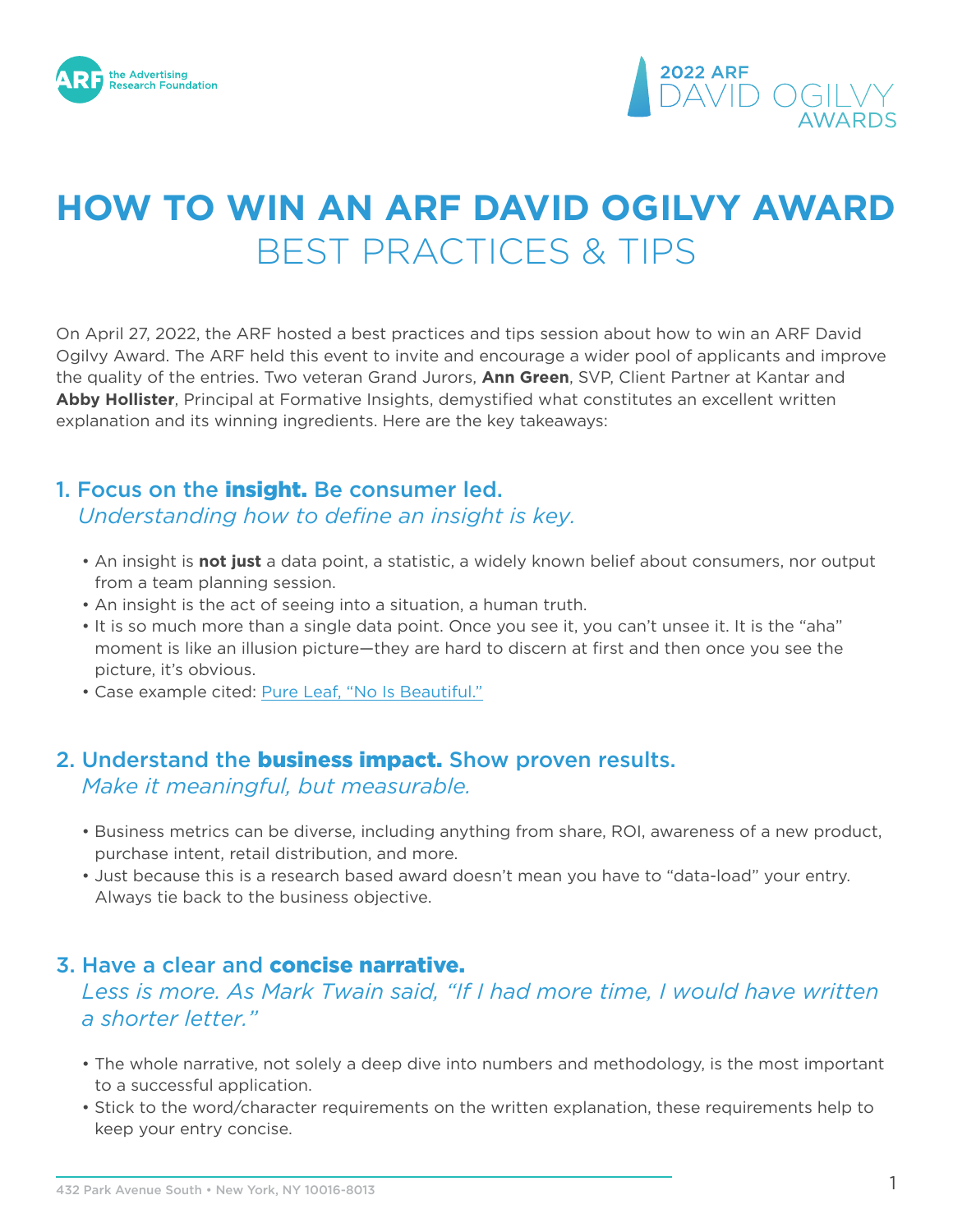



# **HOW TO WIN AN ARF DAVID OGILVY AWARD** BEST PRACTICES & TIPS

On April 27, 2022, the ARF hosted a best practices and tips session about how to win an ARF David Ogilvy Award. The ARF held this event to invite and encourage a wider pool of applicants and improve the quality of the entries. Two veteran Grand Jurors, **Ann Green**, SVP, Client Partner at Kantar and **Abby Hollister**, Principal at Formative Insights, demystified what constitutes an excellent written explanation and its winning ingredients. Here are the key takeaways:

#### 1. Focus on the **insight.** Be consumer led.

*Understanding how to define an insight is key.*

- An insight is **not just** a data point, a statistic, a widely known belief about consumers, nor output from a team planning session.
- An insight is the act of seeing into a situation, a human truth.
- It is so much more than a single data point. Once you see it, you can't unsee it. It is the "aha" moment is like an illusion picture—they are hard to discern at first and then once you see the picture, it's obvious.
- Case example cited: [Pure Leaf, "No Is Beautiful."](https://thearf-org-unified-admin.s3.amazonaws.com/ARF%20Ogilvy%20Award%20Case%20Studies/2020%20ARF%20David%20Ogilvy%20Award%20CS/No-Is-Beautiful.pdf)

# 2. Understand the **business impact.** Show proven results. *Make it meaningful, but measurable.*

- Business metrics can be diverse, including anything from share, ROI, awareness of a new product, purchase intent, retail distribution, and more.
- Just because this is a research based award doesn't mean you have to "data-load" your entry. Always tie back to the business objective.

## 3. Have a clear and concise narrative.

#### *Less is more. As Mark Twain said, "If I had more time, I would have written a shorter letter."*

- The whole narrative, not solely a deep dive into numbers and methodology, is the most important to a successful application.
- Stick to the word/character requirements on the written explanation, these requirements help to keep your entry concise.